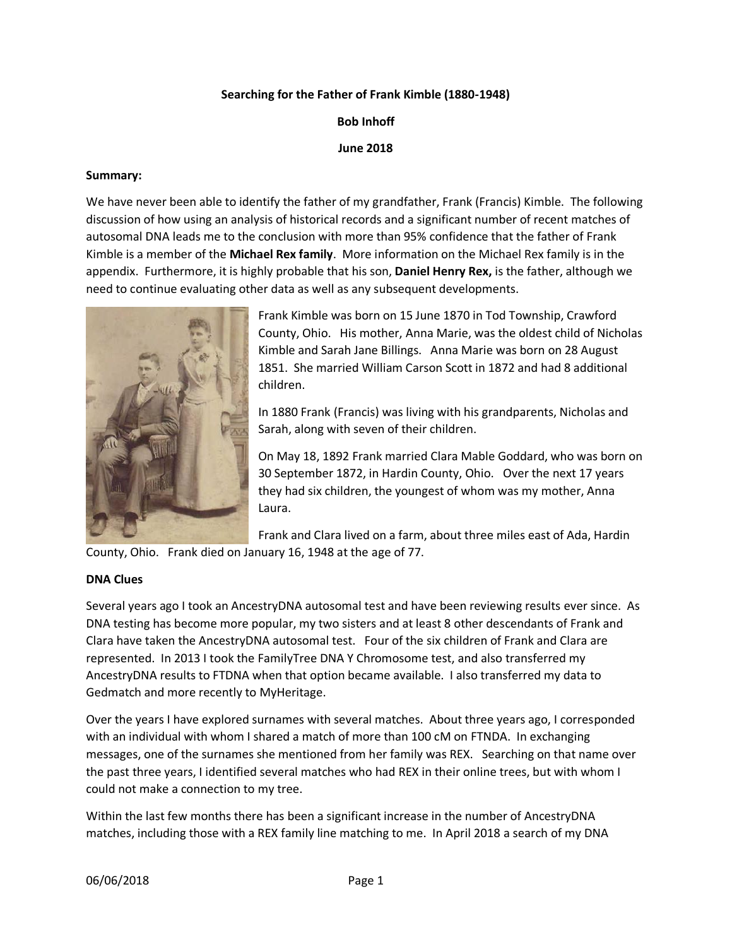### **Searching for the Father of Frank Kimble (1880-1948)**

**Bob Inhoff**

**June 2018**

#### **Summary:**

We have never been able to identify the father of my grandfather, Frank (Francis) Kimble. The following discussion of how using an analysis of historical records and a significant number of recent matches of autosomal DNA leads me to the conclusion with more than 95% confidence that the father of Frank Kimble is a member of the **Michael Rex family**. More information on the Michael Rex family is in the appendix. Furthermore, it is highly probable that his son, **Daniel Henry Rex,** is the father, although we need to continue evaluating other data as well as any subsequent developments.



Frank Kimble was born on 15 June 1870 in Tod Township, Crawford County, Ohio. His mother, Anna Marie, was the oldest child of Nicholas Kimble and Sarah Jane Billings. Anna Marie was born on 28 August 1851. She married William Carson Scott in 1872 and had 8 additional children.

In 1880 Frank (Francis) was living with his grandparents, Nicholas and Sarah, along with seven of their children.

On May 18, 1892 Frank married Clara Mable Goddard, who was born on 30 September 1872, in Hardin County, Ohio. Over the next 17 years they had six children, the youngest of whom was my mother, Anna Laura.

Frank and Clara lived on a farm, about three miles east of Ada, Hardin

County, Ohio. Frank died on January 16, 1948 at the age of 77.

### **DNA Clues**

Several years ago I took an AncestryDNA autosomal test and have been reviewing results ever since. As DNA testing has become more popular, my two sisters and at least 8 other descendants of Frank and Clara have taken the AncestryDNA autosomal test. Four of the six children of Frank and Clara are represented. In 2013 I took the FamilyTree DNA Y Chromosome test, and also transferred my AncestryDNA results to FTDNA when that option became available. I also transferred my data to Gedmatch and more recently to MyHeritage.

Over the years I have explored surnames with several matches. About three years ago, I corresponded with an individual with whom I shared a match of more than 100 cM on FTNDA. In exchanging messages, one of the surnames she mentioned from her family was REX. Searching on that name over the past three years, I identified several matches who had REX in their online trees, but with whom I could not make a connection to my tree.

Within the last few months there has been a significant increase in the number of AncestryDNA matches, including those with a REX family line matching to me. In April 2018 a search of my DNA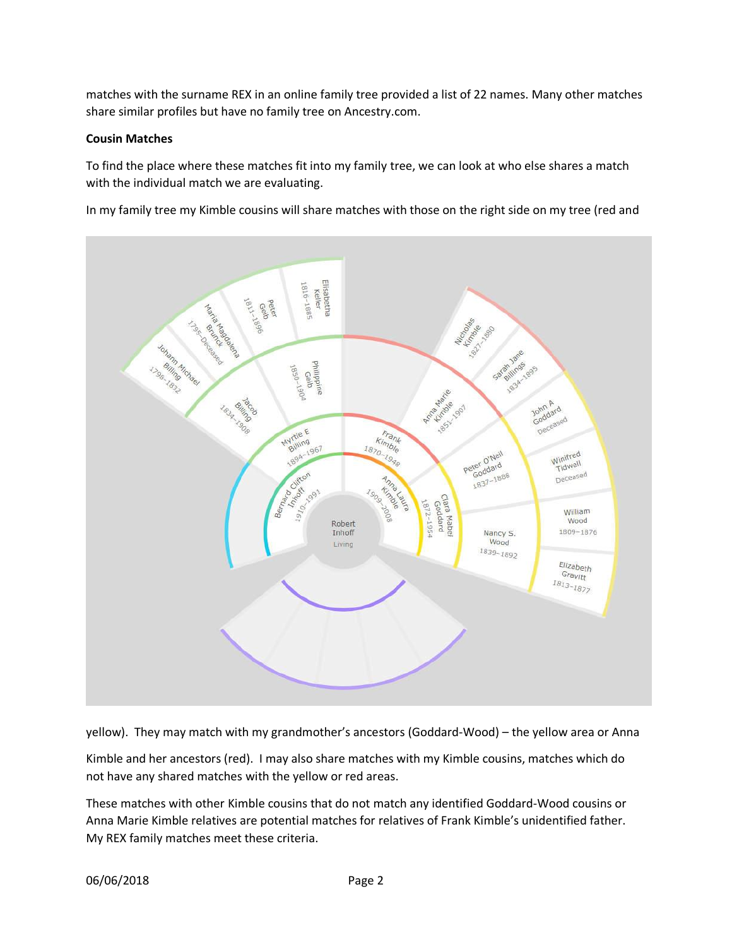matches with the surname REX in an online family tree provided a list of 22 names. Many other matches share similar profiles but have no family tree on Ancestry.com.

### **Cousin Matches**

To find the place where these matches fit into my family tree, we can look at who else shares a match with the individual match we are evaluating.

In my family tree my Kimble cousins will share matches with those on the right side on my tree (red and



yellow). They may match with my grandmother's ancestors (Goddard-Wood) – the yellow area or Anna

Kimble and her ancestors (red). I may also share matches with my Kimble cousins, matches which do not have any shared matches with the yellow or red areas.

These matches with other Kimble cousins that do not match any identified Goddard-Wood cousins or Anna Marie Kimble relatives are potential matches for relatives of Frank Kimble's unidentified father. My REX family matches meet these criteria.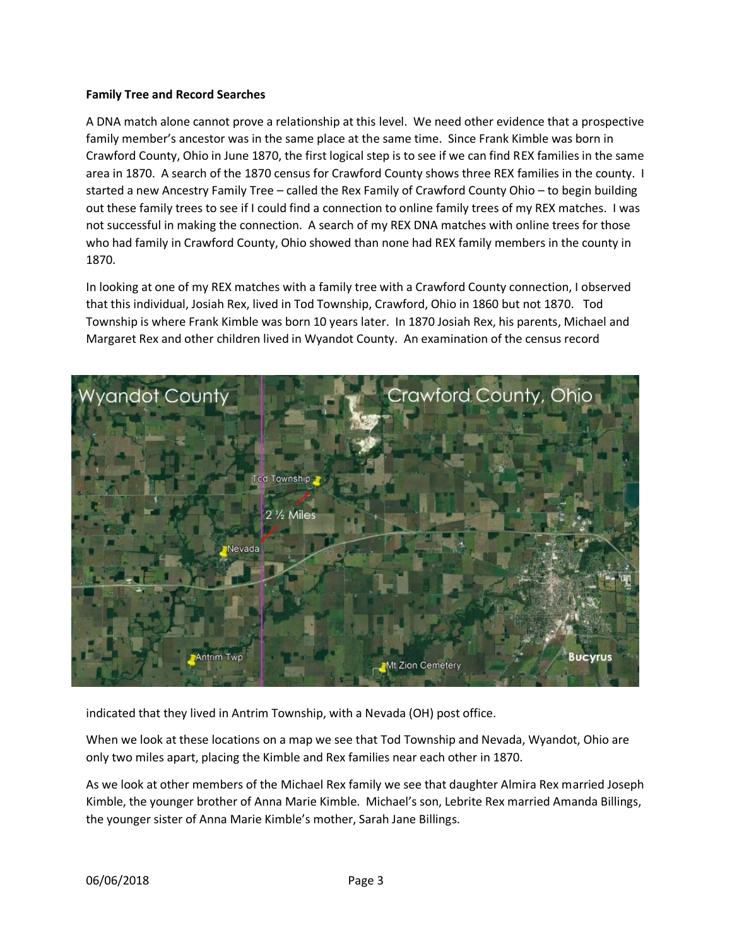### **Family Tree and Record Searches**

A DNA match alone cannot prove a relationship at this level. We need other evidence that a prospective family member's ancestor was in the same place at the same time. Since Frank Kimble was born in Crawford County, Ohio in June 1870, the first logical step is to see if we can find REX families in the same area in 1870. A search of the 1870 census for Crawford County shows three REX families in the county. I started a new Ancestry Family Tree – called the Rex Family of Crawford County Ohio – to begin building out these family trees to see if I could find a connection to online family trees of my REX matches. I was not successful in making the connection. A search of my REX DNA matches with online trees for those who had family in Crawford County, Ohio showed than none had REX family members in the county in 1870.

In looking at one of my REX matches with a family tree with a Crawford County connection, I observed that this individual, Josiah Rex, lived in Tod Township, Crawford, Ohio in 1860 but not 1870. Tod Township is where Frank Kimble was born 10 years later. In 1870 Josiah Rex, his parents, Michael and Margaret Rex and other children lived in Wyandot County. An examination of the census record



indicated that they lived in Antrim Township, with a Nevada (OH) post office.

When we look at these locations on a map we see that Tod Township and Nevada, Wyandot, Ohio are only two miles apart, placing the Kimble and Rex families near each other in 1870.

As we look at other members of the Michael Rex family we see that daughter Almira Rex married Joseph Kimble, the younger brother of Anna Marie Kimble. Michael's son, Lebrite Rex married Amanda Billings, the younger sister of Anna Marie Kimble's mother, Sarah Jane Billings.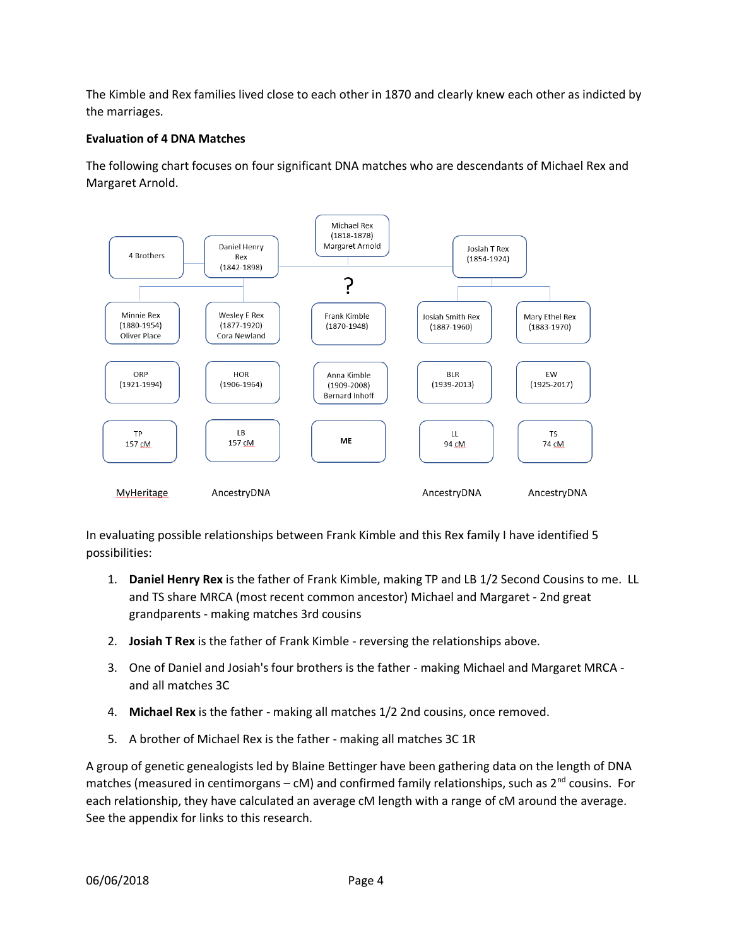The Kimble and Rex families lived close to each other in 1870 and clearly knew each other as indicted by the marriages.

## **Evaluation of 4 DNA Matches**

The following chart focuses on four significant DNA matches who are descendants of Michael Rex and Margaret Arnold.



In evaluating possible relationships between Frank Kimble and this Rex family I have identified 5 possibilities:

- 1. **Daniel Henry Rex** is the father of Frank Kimble, making TP and LB 1/2 Second Cousins to me. LL and TS share MRCA (most recent common ancestor) Michael and Margaret - 2nd great grandparents - making matches 3rd cousins
- 2. **Josiah T Rex** is the father of Frank Kimble reversing the relationships above.
- 3. One of Daniel and Josiah's four brothers is the father making Michael and Margaret MRCA and all matches 3C
- 4. **Michael Rex** is the father making all matches 1/2 2nd cousins, once removed.
- 5. A brother of Michael Rex is the father making all matches 3C 1R

A group of genetic genealogists led by Blaine Bettinger have been gathering data on the length of DNA matches (measured in centimorgans – cM) and confirmed family relationships, such as  $2^{nd}$  cousins. For each relationship, they have calculated an average cM length with a range of cM around the average. See the appendix for links to this research.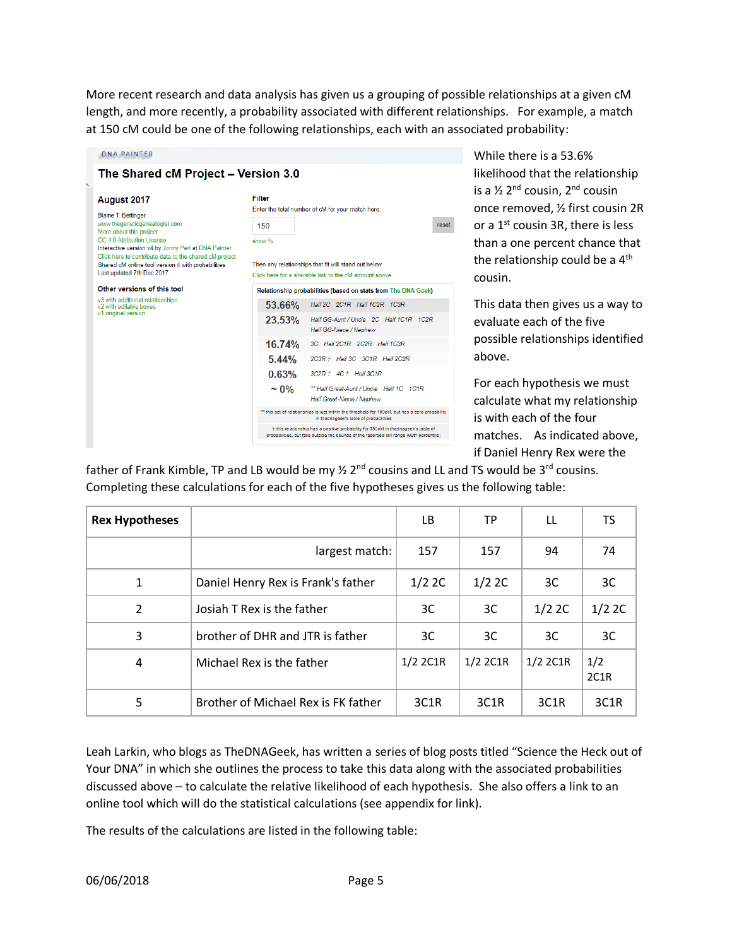More recent research and data analysis has given us a grouping of possible relationships at a given cM length, and more recently, a probability associated with different relationships. For example, a match at 150 cM could be one of the following relationships, each with an associated probability:

| August 2017<br><b>Blaine T. Bettinger</b><br>www.thegeneticgenealogist.com                                                                                             | Filter<br>Enter the total number of cM for your match here:                                                                                                                 |       |  |  |  |  |
|------------------------------------------------------------------------------------------------------------------------------------------------------------------------|-----------------------------------------------------------------------------------------------------------------------------------------------------------------------------|-------|--|--|--|--|
|                                                                                                                                                                        | 150                                                                                                                                                                         | reset |  |  |  |  |
| More about this project<br>CC 4.0 Attribution License<br>Interactive version v4 by Jonny Perl at DNA Painter<br>Click here to contribute data to the shared cM project | show %                                                                                                                                                                      |       |  |  |  |  |
| Shared cM online tool version 4 with probabilities<br>Last updated 7th Dec 2017                                                                                        | Then any relationships that fit will stand out below<br>Click here for a sharable link to the cM amount above                                                               |       |  |  |  |  |
| Other versions of this tool                                                                                                                                            | Relationship probabilities (based on stats from The DNA Geek)                                                                                                               |       |  |  |  |  |
| v3 with additional relationships<br>v <sub>2</sub> with editable boxes<br>v1 original version                                                                          | $53.66\%$<br>Half 2C 2C1R Half 1C2R 1C3R                                                                                                                                    |       |  |  |  |  |
|                                                                                                                                                                        | 23.53%<br>Half GG-Aunt / Uncle 2C Half 1C1R 1C2R<br>Half GG-Niece / Nephew                                                                                                  |       |  |  |  |  |
|                                                                                                                                                                        | 16.74%<br>3C Half 2C1R 2C2R Half 1C3R                                                                                                                                       |       |  |  |  |  |
|                                                                                                                                                                        | $5.44\%$<br>2C3R + Half 3C 3C1R Half 2C2R                                                                                                                                   |       |  |  |  |  |
|                                                                                                                                                                        | $0.63\%$ $3C2R + 4C +$ Half $3C1R$                                                                                                                                          |       |  |  |  |  |
|                                                                                                                                                                        | $\sim 0\%$<br>** Half Great-Aunt / Uncle Half 1C 1C1R<br>Half Great-Niece / Nephew                                                                                          |       |  |  |  |  |
|                                                                                                                                                                        | ** this set of relationships is just within the threshold for 150cM, but has a zero probability<br>in thednageek's table of probabilities                                   |       |  |  |  |  |
|                                                                                                                                                                        | + this relationship has a positive probability for 150cM in thednageek's table of<br>probabilities, but falls outside the bounds of the recorded cM range (99th percentile) |       |  |  |  |  |

While there is a 53.6% likelihood that the relationship is a  $\frac{1}{2}$  2<sup>nd</sup> cousin, 2<sup>nd</sup> cousin once removed, ½ first cousin 2R or a  $1<sup>st</sup>$  cousin 3R, there is less than a one percent chance that the relationship could be a  $4<sup>th</sup>$ cousin.

This data then gives us a way to evaluate each of the five possible relationships identified above.

For each hypothesis we must calculate what my relationship is with each of the four matches. As indicated above, if Daniel Henry Rex were the

father of Frank Kimble, TP and LB would be my  $\frac{1}{2}$  2<sup>nd</sup> cousins and LL and TS would be 3<sup>rd</sup> cousins. Completing these calculations for each of the five hypotheses gives us the following table:

| <b>Rex Hypotheses</b> |                                     | LB.               | ТP                | LL.               | TS.               |
|-----------------------|-------------------------------------|-------------------|-------------------|-------------------|-------------------|
|                       | largest match:                      | 157               | 157               | 94                | 74                |
| 1                     | Daniel Henry Rex is Frank's father  | 1/2 2C            | 1/2 2C            | 3C                | 3C                |
| $\overline{2}$        | Josiah T Rex is the father          | 3C                | 3C                | 1/2 2C            | $1/2$ 2C          |
| 3                     | brother of DHR and JTR is father    | 3C                | 3C                | 3C                | 3C                |
| 4                     | Michael Rex is the father           | $1/2$ 2C1R        | $1/2$ 2C1R        | 1/2 2C1R          | 1/2<br>2C1R       |
| 5                     | Brother of Michael Rex is FK father | 3C <sub>1</sub> R | 3C <sub>1</sub> R | 3C <sub>1</sub> R | 3C <sub>1</sub> R |

Leah Larkin, who blogs as TheDNAGeek, has written a series of blog posts titled "Science the Heck out of Your DNA" in which she outlines the process to take this data along with the associated probabilities discussed above – to calculate the relative likelihood of each hypothesis. She also offers a link to an online tool which will do the statistical calculations (see appendix for link).

The results of the calculations are listed in the following table: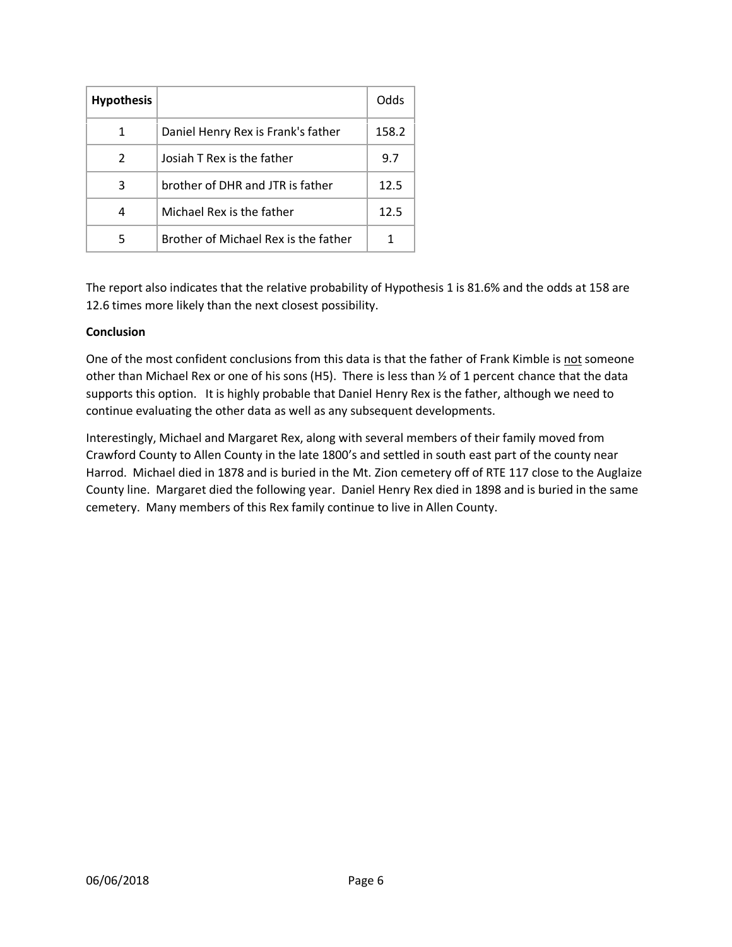| <b>Hypothesis</b> |                                      | Odds  |
|-------------------|--------------------------------------|-------|
| 1                 | Daniel Henry Rex is Frank's father   | 158.2 |
| $\mathcal{P}$     | Josiah T Rex is the father           | 9.7   |
| 3                 | brother of DHR and JTR is father     | 12.5  |
| 4                 | Michael Rex is the father            | 12.5  |
| 5                 | Brother of Michael Rex is the father |       |

The report also indicates that the relative probability of Hypothesis 1 is 81.6% and the odds at 158 are 12.6 times more likely than the next closest possibility.

# **Conclusion**

One of the most confident conclusions from this data is that the father of Frank Kimble is not someone other than Michael Rex or one of his sons (H5). There is less than ½ of 1 percent chance that the data supports this option. It is highly probable that Daniel Henry Rex is the father, although we need to continue evaluating the other data as well as any subsequent developments.

Interestingly, Michael and Margaret Rex, along with several members of their family moved from Crawford County to Allen County in the late 1800's and settled in south east part of the county near Harrod. Michael died in 1878 and is buried in the Mt. Zion cemetery off of RTE 117 close to the Auglaize County line. Margaret died the following year. Daniel Henry Rex died in 1898 and is buried in the same cemetery. Many members of this Rex family continue to live in Allen County.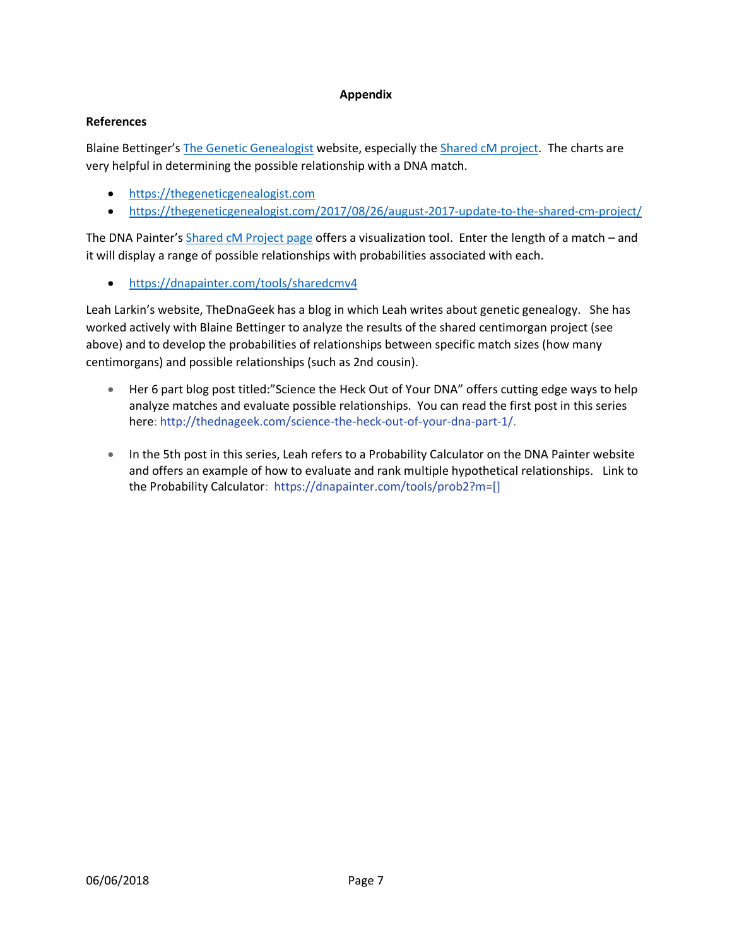### **Appendix**

## **References**

Blaine Bettinger's [The Genetic Genealogist](https://thegeneticgenealogist.com/) website, especially th[e Shared cM project.](https://thegeneticgenealogist.com/2017/08/26/august-2017-update-to-the-shared-cm-project/) The charts are very helpful in determining the possible relationship with a DNA match.

- [https://thegeneticgenealogist.com](https://thegeneticgenealogist.com/)
- <https://thegeneticgenealogist.com/2017/08/26/august-2017-update-to-the-shared-cm-project/>

The DNA Painter's [Shared cM Project page](https://dnapainter.com/tools/sharedcmv4) offers a visualization tool. Enter the length of a match - and it will display a range of possible relationships with probabilities associated with each.

• <https://dnapainter.com/tools/sharedcmv4>

Leah Larkin's website, [TheDnaGeek](http://thednageek.com/) has a blog in which Leah writes about genetic genealogy. She has worked actively with Blaine Bettinger to analyze the results of the shared centimorgan project (see above) and to develop the probabilities of relationships between specific match sizes (how many centimorgans) and possible relationships (such as 2nd cousin).

- Her 6 part blog post titled: "Science the Heck Out of Your DNA" offers cutting edge ways to help analyze matches and evaluate possible relationships. You can read the first post in this series here: [http://thednageek.com/science-the-heck-out-of-your-dna-part-1/.](http://thednageek.com/science-the-heck-out-of-your-dna-part-1/)
- In the 5th post in this series, Leah refers to a Probability Calculator on the DNA Painter website and offers an example of how to evaluate and rank multiple hypothetical relationships. Link to the Probability Calculator: [https://dnapainter.com/tools/prob2?m=\[\]](https://dnapainter.com/tools/prob2?m=%5b%5d)